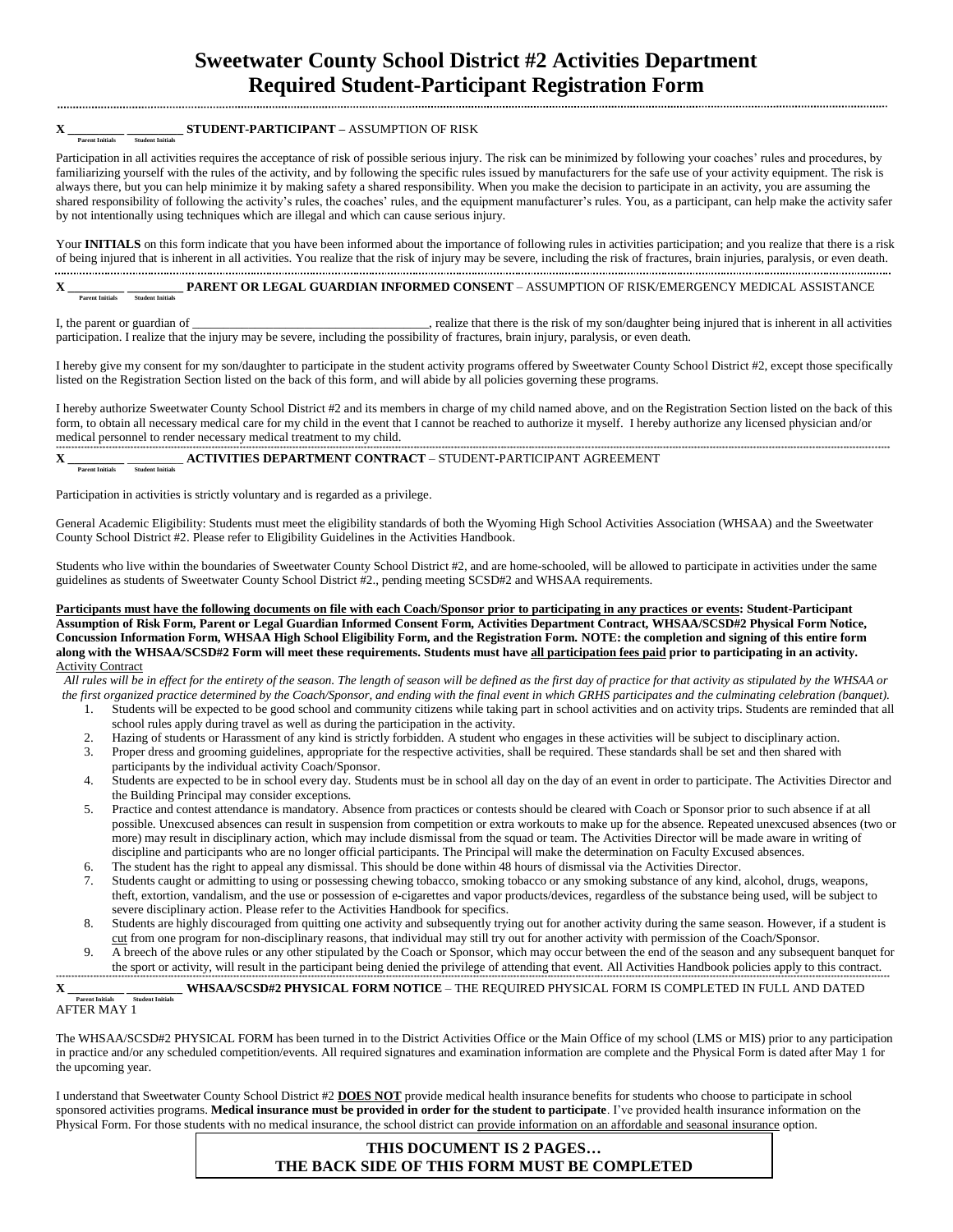# **Sweetwater County School District #2 Activities Department Required Student-Participant Registration Form**

## $\mathbf{X}$   $\frac{1}{\text{Percent Initial}}$   $\frac{1}{\text{Student Initial}}$  **STUDENT-PARTICIPANT** – ASSUMPTION OF RISK

Participation in all activities requires the acceptance of risk of possible serious injury. The risk can be minimized by following your coaches' rules and procedures, by familiarizing yourself with the rules of the activity, and by following the specific rules issued by manufacturers for the safe use of your activity equipment. The risk is always there, but you can help minimize it by making safety a shared responsibility. When you make the decision to participate in an activity, you are assuming the shared responsibility of following the activity's rules, the coaches' rules, and the equipment manufacturer's rules. You, as a participant, can help make the activity safer by not intentionally using techniques which are illegal and which can cause serious injury.

Your **INITIALS** on this form indicate that you have been informed about the importance of following rules in activities participation; and you realize that there is a risk of being injured that is inherent in all activities. You realize that the risk of injury may be severe, including the risk of fractures, brain injuries, paralysis, or even death.

# **X \_\_\_\_\_\_\_\_\_ \_\_\_\_\_\_\_\_\_ PARENT OR LEGAL GUARDIAN INFORMED CONSENT** – ASSUMPTION OF RISK/EMERGENCY MEDICAL ASSISTANCE  **Parent Initials Student Initials**

I, the parent or guardian of \_\_\_\_\_\_\_\_\_\_\_\_\_\_\_\_\_\_\_\_\_\_\_\_\_\_\_\_\_, realize that there is the risk of my son/daughter being injured that is inherent in all activities participation. I realize that the injury may be severe, including the possibility of fractures, brain injury, paralysis, or even death.

I hereby give my consent for my son/daughter to participate in the student activity programs offered by Sweetwater County School District #2, except those specifically listed on the Registration Section listed on the back of this form, and will abide by all policies governing these programs.

I hereby authorize Sweetwater County School District #2 and its members in charge of my child named above, and on the Registration Section listed on the back of this form, to obtain all necessary medical care for my child in the event that I cannot be reached to authorize it myself. I hereby authorize any licensed physician and/or medical personnel to render necessary medical treatment to my child.

# $\mathbf{X}_{\frac{\text{Parent Initials}}{\text{Part Initials}}}$   $\frac{\text{ACTIVITIES DEPARTMENT CONTRACT - STUDENT - PARTICIPANT AGREEMENT} }{\text{Partent Initials}}$

Participation in activities is strictly voluntary and is regarded as a privilege.

General Academic Eligibility: Students must meet the eligibility standards of both the Wyoming High School Activities Association (WHSAA) and the Sweetwater County School District #2. Please refer to Eligibility Guidelines in the Activities Handbook.

Students who live within the boundaries of Sweetwater County School District #2, and are home-schooled, will be allowed to participate in activities under the same guidelines as students of Sweetwater County School District #2., pending meeting SCSD#2 and WHSAA requirements.

**Participants must have the following documents on file with each Coach/Sponsor prior to participating in any practices or events: Student-Participant Assumption of Risk Form, Parent or Legal Guardian Informed Consent Form, Activities Department Contract, WHSAA/SCSD#2 Physical Form Notice, Concussion Information Form, WHSAA High School Eligibility Form, and the Registration Form. NOTE: the completion and signing of this entire form along with the WHSAA/SCSD#2 Form will meet these requirements. Students must have all participation fees paid prior to participating in an activity. Activity Contract** 

*All rules will be in effect for the entirety of the season. The length of season will be defined as the first day of practice for that activity as stipulated by the WHSAA or the first organized practice determined by the Coach/Sponsor, and ending with the final event in which GRHS participates and the culminating celebration (banquet).*

- 1. Students will be expected to be good school and community citizens while taking part in school activities and on activity trips. Students are reminded that all school rules apply during travel as well as during the participation in the activity.
- 2. Hazing of students or Harassment of any kind is strictly forbidden. A student who engages in these activities will be subject to disciplinary action.
- Proper dress and grooming guidelines, appropriate for the respective activities, shall be required. These standards shall be set and then shared with participants by the individual activity Coach/Sponsor.
- 4. Students are expected to be in school every day. Students must be in school all day on the day of an event in order to participate. The Activities Director and the Building Principal may consider exceptions.
- 5. Practice and contest attendance is mandatory. Absence from practices or contests should be cleared with Coach or Sponsor prior to such absence if at all possible. Unexcused absences can result in suspension from competition or extra workouts to make up for the absence. Repeated unexcused absences (two or more) may result in disciplinary action, which may include dismissal from the squad or team. The Activities Director will be made aware in writing of discipline and participants who are no longer official participants. The Principal will make the determination on Faculty Excused absences.
- 6. The student has the right to appeal any dismissal. This should be done within 48 hours of dismissal via the Activities Director.
- 7. Students caught or admitting to using or possessing chewing tobacco, smoking tobacco or any smoking substance of any kind, alcohol, drugs, weapons, theft, extortion, vandalism, and the use or possession of e-cigarettes and vapor products/devices, regardless of the substance being used, will be subject to severe disciplinary action. Please refer to the Activities Handbook for specifics.
- 8. Students are highly discouraged from quitting one activity and subsequently trying out for another activity during the same season. However, if a student is cut from one program for non-disciplinary reasons, that individual may still try out for another activity with permission of the Coach/Sponsor.
- 9. A breech of the above rules or any other stipulated by the Coach or Sponsor, which may occur between the end of the season and any subsequent banquet for the sport or activity, will result in the participant being denied the privilege of attending that event. All Activities Handbook policies apply to this contract.

## $\overline{\textbf{X}_{\frac{P_{\text{arach}}}{P_{\text{arach}}}}\frac{1}{\text{Student Iaiifah}}}}$  WHSAA/SCSD#2 PHYSICAL FORM NOTICE – THE REQUIRED PHYSICAL FORM IS COMPLETED IN FULL AND DATED AFTER MAY 1

The WHSAA/SCSD#2 PHYSICAL FORM has been turned in to the District Activities Office or the Main Office of my school (LMS or MIS) prior to any participation in practice and/or any scheduled competition/events. All required signatures and examination information are complete and the Physical Form is dated after May 1 for the upcoming year.

I understand that Sweetwater County School District #2 **DOES NOT** provide medical health insurance benefits for students who choose to participate in school sponsored activities programs. **Medical insurance must be provided in order for the student to participate**. I've provided health insurance information on the Physical Form. For those students with no medical insurance, the school district can provide information on an affordable and seasonal insurance option.

## **THIS DOCUMENT IS 2 PAGES… THE BACK SIDE OF THIS FORM MUST BE COMPLETED**